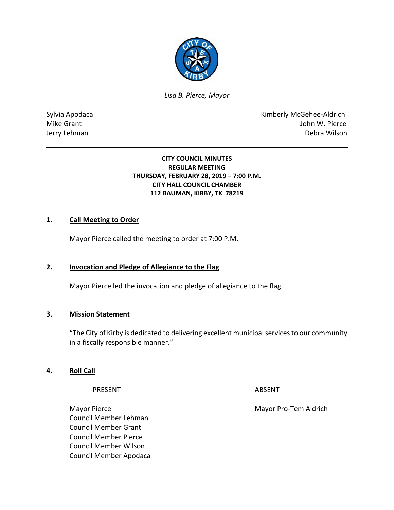

*Lisa B. Pierce, Mayor* 

Sylvia Apodaca **Kimberly McGehee-Aldrich** Mike Grant **Mike Grant** John W. Pierce Jerry Lehman Debra Wilson

### **CITY COUNCIL MINUTES REGULAR MEETING THURSDAY, FEBRUARY 28, 2019 – 7:00 P.M. CITY HALL COUNCIL CHAMBER 112 BAUMAN, KIRBY, TX 78219**

### **1. Call Meeting to Order**

Mayor Pierce called the meeting to order at 7:00 P.M.

### **2. Invocation and Pledge of Allegiance to the Flag**

Mayor Pierce led the invocation and pledge of allegiance to the flag.

### **3. Mission Statement**

"The City of Kirby is dedicated to delivering excellent municipal services to our community in a fiscally responsible manner."

### **4. Roll Call**

#### PRESENT ABSENT

Mayor Pierce Mayor Pro-Tem Aldrich Council Member Lehman Council Member Grant Council Member Pierce Council Member Wilson Council Member Apodaca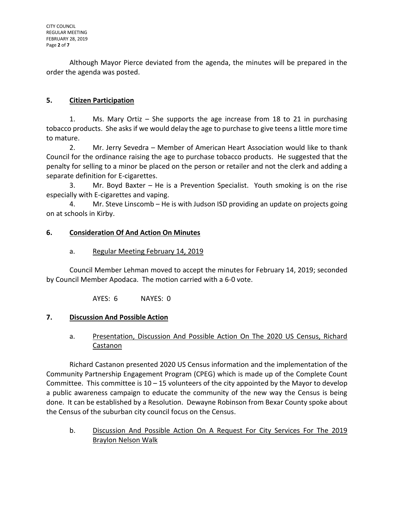Although Mayor Pierce deviated from the agenda, the minutes will be prepared in the order the agenda was posted.

## **5. Citizen Participation**

1. Ms. Mary Ortiz – She supports the age increase from 18 to 21 in purchasing tobacco products. She asks if we would delay the age to purchase to give teens a little more time to mature.

2. Mr. Jerry Sevedra – Member of American Heart Association would like to thank Council for the ordinance raising the age to purchase tobacco products. He suggested that the penalty for selling to a minor be placed on the person or retailer and not the clerk and adding a separate definition for E-cigarettes.

3. Mr. Boyd Baxter – He is a Prevention Specialist. Youth smoking is on the rise especially with E-cigarettes and vaping.

4. Mr. Steve Linscomb – He is with Judson ISD providing an update on projects going on at schools in Kirby.

## **6. Consideration Of And Action On Minutes**

## a. Regular Meeting February 14, 2019

Council Member Lehman moved to accept the minutes for February 14, 2019; seconded by Council Member Apodaca. The motion carried with a 6-0 vote.

AYES: 6 NAYES: 0

# **7. Discussion And Possible Action**

# a. Presentation, Discussion And Possible Action On The 2020 US Census, Richard Castanon

Richard Castanon presented 2020 US Census information and the implementation of the Community Partnership Engagement Program (CPEG) which is made up of the Complete Count Committee. This committee is  $10 - 15$  volunteers of the city appointed by the Mayor to develop a public awareness campaign to educate the community of the new way the Census is being done. It can be established by a Resolution. Dewayne Robinson from Bexar County spoke about the Census of the suburban city council focus on the Census.

b. Discussion And Possible Action On A Request For City Services For The 2019 Braylon Nelson Walk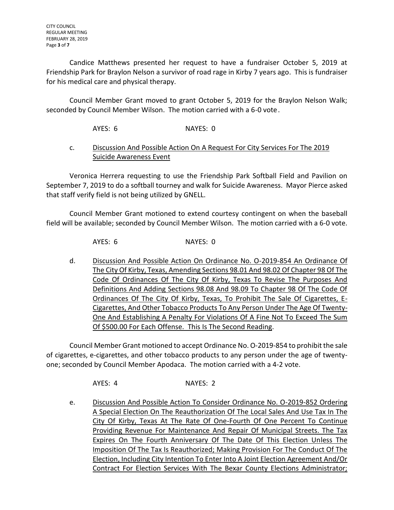Candice Matthews presented her request to have a fundraiser October 5, 2019 at Friendship Park for Braylon Nelson a survivor of road rage in Kirby 7 years ago. This is fundraiser for his medical care and physical therapy.

Council Member Grant moved to grant October 5, 2019 for the Braylon Nelson Walk; seconded by Council Member Wilson. The motion carried with a 6-0 vote.

AYES: 6 NAYES: 0

## c. Discussion And Possible Action On A Request For City Services For The 2019 Suicide Awareness Event

Veronica Herrera requesting to use the Friendship Park Softball Field and Pavilion on September 7, 2019 to do a softball tourney and walk for Suicide Awareness. Mayor Pierce asked that staff verify field is not being utilized by GNELL.

Council Member Grant motioned to extend courtesy contingent on when the baseball field will be available; seconded by Council Member Wilson. The motion carried with a 6-0 vote.

AYES: 6 NAYES: 0

d. Discussion And Possible Action On Ordinance No. O-2019-854 An Ordinance Of The City Of Kirby, Texas, Amending Sections 98.01 And 98.02 Of Chapter 98 Of The Code Of Ordinances Of The City Of Kirby, Texas To Revise The Purposes And Definitions And Adding Sections 98.08 And 98.09 To Chapter 98 Of The Code Of Ordinances Of The City Of Kirby, Texas, To Prohibit The Sale Of Cigarettes, E-Cigarettes, And Other Tobacco Products To Any Person Under The Age Of Twenty-One And Establishing A Penalty For Violations Of A Fine Not To Exceed The Sum Of \$500.00 For Each Offense. This Is The Second Reading.

Council Member Grant motioned to accept Ordinance No. O-2019-854 to prohibit the sale of cigarettes, e-cigarettes, and other tobacco products to any person under the age of twentyone; seconded by Council Member Apodaca. The motion carried with a 4-2 vote.

AYES: 4 NAYES: 2

e. Discussion And Possible Action To Consider Ordinance No. O-2019-852 Ordering A Special Election On The Reauthorization Of The Local Sales And Use Tax In The City Of Kirby, Texas At The Rate Of One-Fourth Of One Percent To Continue Providing Revenue For Maintenance And Repair Of Municipal Streets. The Tax Expires On The Fourth Anniversary Of The Date Of This Election Unless The Imposition Of The Tax Is Reauthorized; Making Provision For The Conduct Of The Election, Including City Intention To Enter Into A Joint Election Agreement And/Or Contract For Election Services With The Bexar County Elections Administrator;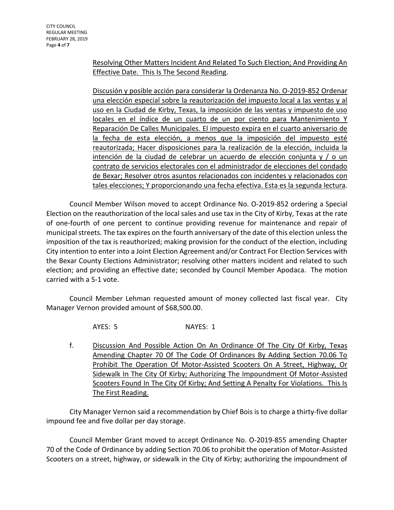CITY COUNCIL REGULAR MEETING FEBRUARY 28, 2019 Page **4** of **7**

## Resolving Other Matters Incident And Related To Such Election; And Providing An Effective Date. This Is The Second Reading.

Discusión y posible acción para considerar la Ordenanza No. O-2019-852 Ordenar una elección especial sobre la reautorización del impuesto local a las ventas y al uso en la Ciudad de Kirby, Texas, la imposición de las ventas y impuesto de uso locales en el índice de un cuarto de un por ciento para Mantenimiento Y Reparación De Calles Municipales. El impuesto expira en el cuarto aniversario de la fecha de esta elección, a menos que la imposición del impuesto esté reautorizada; Hacer disposiciones para la realización de la elección, incluida la intención de la ciudad de celebrar un acuerdo de elección conjunta y / o un contrato de servicios electorales con el administrador de elecciones del condado de Bexar; Resolver otros asuntos relacionados con incidentes y relacionados con tales elecciones; Y proporcionando una fecha efectiva. Esta es la segunda lectura.

Council Member Wilson moved to accept Ordinance No. O-2019-852 ordering a Special Election on the reauthorization of the local sales and use tax in the City of Kirby, Texas at the rate of one-fourth of one percent to continue providing revenue for maintenance and repair of municipal streets. The tax expires on the fourth anniversary of the date of this election unless the imposition of the tax is reauthorized; making provision for the conduct of the election, including City intention to enter into a Joint Election Agreement and/or Contract For Election Services with the Bexar County Elections Administrator; resolving other matters incident and related to such election; and providing an effective date; seconded by Council Member Apodaca. The motion carried with a 5-1 vote.

Council Member Lehman requested amount of money collected last fiscal year. City Manager Vernon provided amount of \$68,500.00.

AYES: 5 NAYES: 1

f. Discussion And Possible Action On An Ordinance Of The City Of Kirby, Texas Amending Chapter 70 Of The Code Of Ordinances By Adding Section 70.06 To Prohibit The Operation Of Motor-Assisted Scooters On A Street, Highway, Or Sidewalk In The City Of Kirby; Authorizing The Impoundment Of Motor-Assisted Scooters Found In The City Of Kirby; And Setting A Penalty For Violations. This Is The First Reading.

City Manager Vernon said a recommendation by Chief Bois is to charge a thirty-five dollar impound fee and five dollar per day storage.

Council Member Grant moved to accept Ordinance No. O-2019-855 amending Chapter 70 of the Code of Ordinance by adding Section 70.06 to prohibit the operation of Motor-Assisted Scooters on a street, highway, or sidewalk in the City of Kirby; authorizing the impoundment of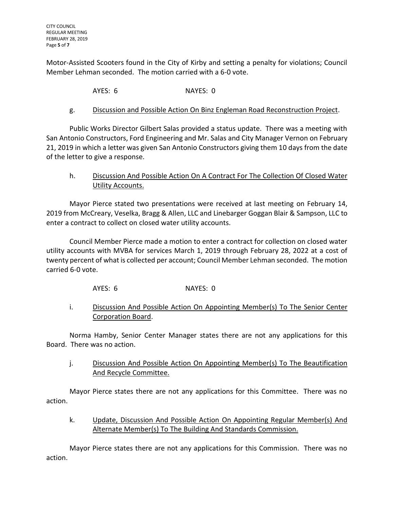Motor-Assisted Scooters found in the City of Kirby and setting a penalty for violations; Council Member Lehman seconded. The motion carried with a 6-0 vote.

AYES: 6 NAYES: 0

## g. Discussion and Possible Action On Binz Engleman Road Reconstruction Project.

Public Works Director Gilbert Salas provided a status update. There was a meeting with San Antonio Constructors, Ford Engineering and Mr. Salas and City Manager Vernon on February 21, 2019 in which a letter was given San Antonio Constructors giving them 10 days from the date of the letter to give a response.

## h. Discussion And Possible Action On A Contract For The Collection Of Closed Water Utility Accounts.

Mayor Pierce stated two presentations were received at last meeting on February 14, 2019 from McCreary, Veselka, Bragg & Allen, LLC and Linebarger Goggan Blair & Sampson, LLC to enter a contract to collect on closed water utility accounts.

Council Member Pierce made a motion to enter a contract for collection on closed water utility accounts with MVBA for services March 1, 2019 through February 28, 2022 at a cost of twenty percent of what is collected per account; Council Member Lehman seconded. The motion carried 6-0 vote.

AYES: 6 NAYES: 0

## i. Discussion And Possible Action On Appointing Member(s) To The Senior Center Corporation Board.

Norma Hamby, Senior Center Manager states there are not any applications for this Board. There was no action.

j. Discussion And Possible Action On Appointing Member(s) To The Beautification And Recycle Committee.

Mayor Pierce states there are not any applications for this Committee. There was no action.

k. **Update, Discussion And Possible Action On Appointing Regular Member(s) And** Alternate Member(s) To The Building And Standards Commission.

Mayor Pierce states there are not any applications for this Commission. There was no action.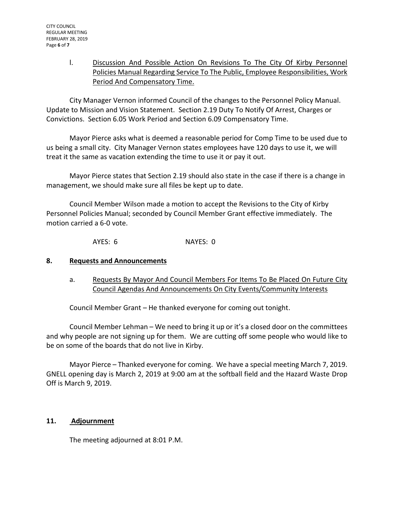## l. Discussion And Possible Action On Revisions To The City Of Kirby Personnel Policies Manual Regarding Service To The Public, Employee Responsibilities, Work Period And Compensatory Time.

City Manager Vernon informed Council of the changes to the Personnel Policy Manual. Update to Mission and Vision Statement. Section 2.19 Duty To Notify Of Arrest, Charges or Convictions. Section 6.05 Work Period and Section 6.09 Compensatory Time.

Mayor Pierce asks what is deemed a reasonable period for Comp Time to be used due to us being a small city. City Manager Vernon states employees have 120 days to use it, we will treat it the same as vacation extending the time to use it or pay it out.

Mayor Pierce states that Section 2.19 should also state in the case if there is a change in management, we should make sure all files be kept up to date.

Council Member Wilson made a motion to accept the Revisions to the City of Kirby Personnel Policies Manual; seconded by Council Member Grant effective immediately. The motion carried a 6-0 vote.

AYES: 6 NAYES: 0

## **8. Requests and Announcements**

a. Requests By Mayor And Council Members For Items To Be Placed On Future City Council Agendas And Announcements On City Events/Community Interests

Council Member Grant – He thanked everyone for coming out tonight.

Council Member Lehman – We need to bring it up or it's a closed door on the committees and why people are not signing up for them. We are cutting off some people who would like to be on some of the boards that do not live in Kirby.

Mayor Pierce – Thanked everyone for coming. We have a special meeting March 7, 2019. GNELL opening day is March 2, 2019 at 9:00 am at the softball field and the Hazard Waste Drop Off is March 9, 2019.

## **11. Adjournment**

The meeting adjourned at 8:01 P.M.